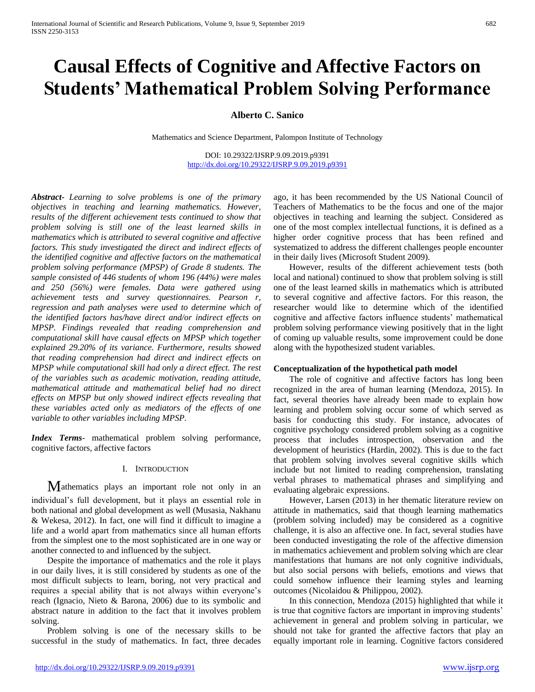# **Causal Effects of Cognitive and Affective Factors on Students' Mathematical Problem Solving Performance**

**Alberto C. Sanico**

Mathematics and Science Department, Palompon Institute of Technology

DOI: 10.29322/IJSRP.9.09.2019.p9391 <http://dx.doi.org/10.29322/IJSRP.9.09.2019.p9391>

*Abstract***-** *Learning to solve problems is one of the primary objectives in teaching and learning mathematics. However, results of the different achievement tests continued to show that problem solving is still one of the least learned skills in mathematics which is attributed to several cognitive and affective factors. This study investigated the direct and indirect effects of the identified cognitive and affective factors on the mathematical problem solving performance (MPSP) of Grade 8 students. The sample consisted of 446 students of whom 196 (44%) were males and 250 (56%) were females. Data were gathered using achievement tests and survey questionnaires. Pearson r, regression and path analyses were used to determine which of the identified factors has/have direct and/or indirect effects on MPSP. Findings revealed that reading comprehension and computational skill have causal effects on MPSP which together explained 29.20% of its variance. Furthermore, results showed that reading comprehension had direct and indirect effects on MPSP while computational skill had only a direct effect. The rest of the variables such as academic motivation, reading attitude, mathematical attitude and mathematical belief had no direct effects on MPSP but only showed indirect effects revealing that these variables acted only as mediators of the effects of one variable to other variables including MPSP.*

*Index Terms*- mathematical problem solving performance, cognitive factors, affective factors

## I. INTRODUCTION

Mathematics plays an important role not only in an individual's full development, but it plays an essential role in both national and global development as well (Musasia, Nakhanu & Wekesa, 2012). In fact, one will find it difficult to imagine a life and a world apart from mathematics since all human efforts from the simplest one to the most sophisticated are in one way or another connected to and influenced by the subject.

Despite the importance of mathematics and the role it plays in our daily lives, it is still considered by students as one of the most difficult subjects to learn, boring, not very practical and requires a special ability that is not always within everyone's reach (Ignacio, Nieto & Barona, 2006) due to its symbolic and abstract nature in addition to the fact that it involves problem solving.

Problem solving is one of the necessary skills to be successful in the study of mathematics. In fact, three decades ago, it has been recommended by the US National Council of Teachers of Mathematics to be the focus and one of the major objectives in teaching and learning the subject. Considered as one of the most complex intellectual functions, it is defined as a higher order cognitive process that has been refined and systematized to address the different challenges people encounter in their daily lives (Microsoft Student 2009).

However, results of the different achievement tests (both local and national) continued to show that problem solving is still one of the least learned skills in mathematics which is attributed to several cognitive and affective factors. For this reason, the researcher would like to determine which of the identified cognitive and affective factors influence students' mathematical problem solving performance viewing positively that in the light of coming up valuable results, some improvement could be done along with the hypothesized student variables.

## **Conceptualization of the hypothetical path model**

The role of cognitive and affective factors has long been recognized in the area of human learning (Mendoza, 2015). In fact, several theories have already been made to explain how learning and problem solving occur some of which served as basis for conducting this study. For instance, advocates of cognitive psychology considered problem solving as a cognitive process that includes introspection, observation and the development of heuristics (Hardin, 2002). This is due to the fact that problem solving involves several cognitive skills which include but not limited to reading comprehension, translating verbal phrases to mathematical phrases and simplifying and evaluating algebraic expressions.

However, Larsen (2013) in her thematic literature review on attitude in mathematics, said that though learning mathematics (problem solving included) may be considered as a cognitive challenge, it is also an affective one. In fact, several studies have been conducted investigating the role of the affective dimension in mathematics achievement and problem solving which are clear manifestations that humans are not only cognitive individuals, but also social persons with beliefs, emotions and views that could somehow influence their learning styles and learning outcomes (Nicolaidou & Philippou, 2002).

In this connection, Mendoza (2015) highlighted that while it is true that cognitive factors are important in improving students' achievement in general and problem solving in particular, we should not take for granted the affective factors that play an equally important role in learning. Cognitive factors considered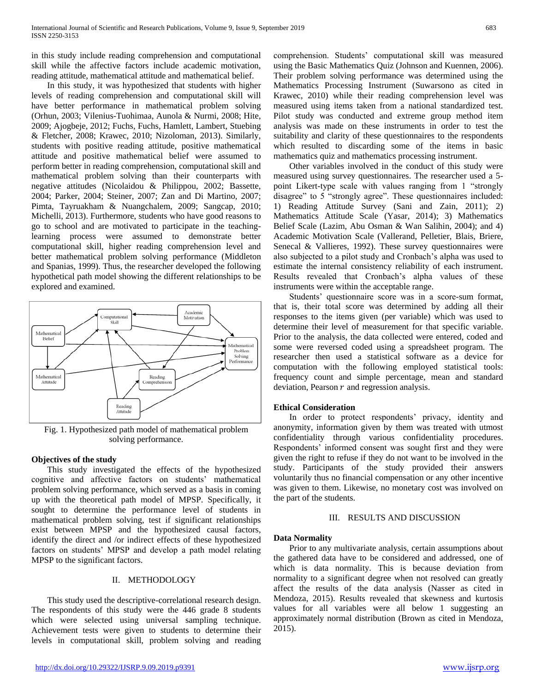in this study include reading comprehension and computational skill while the affective factors include academic motivation, reading attitude, mathematical attitude and mathematical belief.

In this study, it was hypothesized that students with higher levels of reading comprehension and computational skill will have better performance in mathematical problem solving (Orhun, 2003; Vilenius-Tuohimaa, Aunola & Nurmi, 2008; Hite, 2009; Ajogbeje, 2012; Fuchs, Fuchs, Hamlett, Lambert, Stuebing & Fletcher, 2008; Krawec, 2010; Nizoloman, 2013). Similarly, students with positive reading attitude, positive mathematical attitude and positive mathematical belief were assumed to perform better in reading comprehension, computational skill and mathematical problem solving than their counterparts with negative attitudes (Nicolaidou & Philippou, 2002; Bassette, 2004; Parker, 2004; Steiner, 2007; Zan and Di Martino, 2007; Pimta, Tayruakham & Nuangchalem, 2009; Sangcap, 2010; Michelli, 2013). Furthermore, students who have good reasons to go to school and are motivated to participate in the teachinglearning process were assumed to demonstrate better computational skill, higher reading comprehension level and better mathematical problem solving performance (Middleton and Spanias, 1999). Thus, the researcher developed the following hypothetical path model showing the different relationships to be explored and examined.



Fig. 1. Hypothesized path model of mathematical problem solving performance.

## **Objectives of the study**

This study investigated the effects of the hypothesized cognitive and affective factors on students' mathematical problem solving performance, which served as a basis in coming up with the theoretical path model of MPSP. Specifically, it sought to determine the performance level of students in mathematical problem solving, test if significant relationships exist between MPSP and the hypothesized causal factors, identify the direct and /or indirect effects of these hypothesized factors on students' MPSP and develop a path model relating MPSP to the significant factors.

#### II. METHODOLOGY

This study used the descriptive-correlational research design. The respondents of this study were the 446 grade 8 students which were selected using universal sampling technique. Achievement tests were given to students to determine their levels in computational skill, problem solving and reading

comprehension. Students' computational skill was measured using the Basic Mathematics Quiz (Johnson and Kuennen, 2006). Their problem solving performance was determined using the Mathematics Processing Instrument (Suwarsono as cited in Krawec, 2010) while their reading comprehension level was measured using items taken from a national standardized test. Pilot study was conducted and extreme group method item analysis was made on these instruments in order to test the suitability and clarity of these questionnaires to the respondents which resulted to discarding some of the items in basic mathematics quiz and mathematics processing instrument.

Other variables involved in the conduct of this study were measured using survey questionnaires. The researcher used a 5 point Likert-type scale with values ranging from 1 "strongly disagree" to 5 "strongly agree". These questionnaires included: 1) Reading Attitude Survey (Sani and Zain, 2011); 2) Mathematics Attitude Scale (Yasar, 2014); 3) Mathematics Belief Scale (Lazim, Abu Osman & Wan Salihin, 2004); and 4) Academic Motivation Scale (Vallerand, Pelletier, Blais, Briere, Senecal & Vallieres, 1992). These survey questionnaires were also subjected to a pilot study and Cronbach's alpha was used to estimate the internal consistency reliability of each instrument. Results revealed that Cronbach's alpha values of these instruments were within the acceptable range.

Students' questionnaire score was in a score-sum format, that is, their total score was determined by adding all their responses to the items given (per variable) which was used to determine their level of measurement for that specific variable. Prior to the analysis, the data collected were entered, coded and some were reversed coded using a spreadsheet program. The researcher then used a statistical software as a device for computation with the following employed statistical tools: frequency count and simple percentage, mean and standard deviation, Pearson  $r$  and regression analysis.

## **Ethical Consideration**

In order to protect respondents' privacy, identity and anonymity, information given by them was treated with utmost confidentiality through various confidentiality procedures. Respondents' informed consent was sought first and they were given the right to refuse if they do not want to be involved in the study. Participants of the study provided their answers voluntarily thus no financial compensation or any other incentive was given to them. Likewise, no monetary cost was involved on the part of the students.

#### III. RESULTS AND DISCUSSION

## **Data Normality**

Prior to any multivariate analysis, certain assumptions about the gathered data have to be considered and addressed, one of which is data normality. This is because deviation from normality to a significant degree when not resolved can greatly affect the results of the data analysis (Nasser as cited in Mendoza, 2015). Results revealed that skewness and kurtosis values for all variables were all below 1 suggesting an approximately normal distribution (Brown as cited in Mendoza, 2015).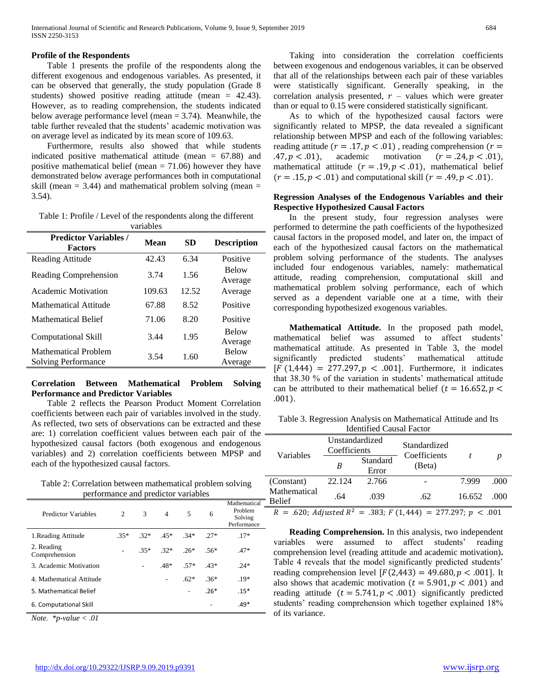## **Profile of the Respondents**

Table 1 presents the profile of the respondents along the different exogenous and endogenous variables. As presented, it can be observed that generally, the study population (Grade 8 students) showed positive reading attitude (mean = 42.43). However, as to reading comprehension, the students indicated below average performance level (mean = 3.74). Meanwhile, the table further revealed that the students' academic motivation was on average level as indicated by its mean score of 109.63.

Furthermore, results also showed that while students indicated positive mathematical attitude (mean  $= 67.88$ ) and positive mathematical belief (mean  $= 71.06$ ) however they have demonstrated below average performances both in computational skill (mean  $= 3.44$ ) and mathematical problem solving (mean  $=$ 3.54).

Table 1: Profile / Level of the respondents along the different variables

| <b>Predictor Variables /</b><br><b>Factors</b> | Mean   | SD    | <b>Description</b>      |
|------------------------------------------------|--------|-------|-------------------------|
| Reading Attitude                               | 42.43  | 6.34  | Positive                |
| Reading Comprehension                          | 3.74   | 1.56  | <b>Below</b><br>Average |
| Academic Motivation                            | 109.63 | 12.52 | Average                 |
| Mathematical Attitude                          | 67.88  | 8.52  | Positive                |
| Mathematical Belief                            | 71.06  | 8.20  | Positive                |
| Computational Skill                            | 3.44   | 1.95  | <b>Below</b><br>Average |
| Mathematical Problem<br>Solving Performance    | 3.54   | 1.60  | <b>Below</b><br>Average |

## **Correlation Between Mathematical Problem Solving Performance and Predictor Variables**

Table 2 reflects the Pearson Product Moment Correlation coefficients between each pair of variables involved in the study. As reflected, two sets of observations can be extracted and these are: 1) correlation coefficient values between each pair of the hypothesized causal factors (both exogenous and endogenous variables) and 2) correlation coefficients between MPSP and each of the hypothesized causal factors.

Table 2: Correlation between mathematical problem solving performance and predictor variables

| Predictor Variables         | 2      | 3      | $\overline{4}$ | 5      | 6      | Mathematical<br>Problem<br>Solving<br>Performance |
|-----------------------------|--------|--------|----------------|--------|--------|---------------------------------------------------|
| 1. Reading Attitude         | $.35*$ | $.32*$ | $.45*$         | $34*$  | $27*$  | $.17*$                                            |
| 2. Reading<br>Comprehension |        | $35*$  | $32*$          | $26*$  | $.56*$ | $.47*$                                            |
| 3. Academic Motivation      |        |        | $.48*$         | .57*   | $43*$  | $24*$                                             |
| 4. Mathematical Attitude    |        |        |                | $.62*$ | $.36*$ | $.19*$                                            |
| 5. Mathematical Belief      |        |        |                |        | $.26*$ | $.15*$                                            |
| 6. Computational Skill      |        |        |                |        |        | $.49*$                                            |

*Note. \*p-value < .01*

Taking into consideration the correlation coefficients between exogenous and endogenous variables, it can be observed that all of the relationships between each pair of these variables were statistically significant. Generally speaking, in the correlation analysis presented,  $r$  – values which were greater than or equal to 0.15 were considered statistically significant.

As to which of the hypothesized causal factors were significantly related to MPSP, the data revealed a significant relationship between MPSP and each of the following variables: reading attitude ( $r = .17$ ,  $p < .01$ ), reading comprehension ( $r =$ .47,  $p < .01$ ), academic motivation  $(r = .24, p < .01)$ , mathematical attitude  $(r = .19, p < .01)$ , mathematical belief  $(r = .15, p < .01)$  and computational skill  $(r = .49, p < .01)$ .

## **Regression Analyses of the Endogenous Variables and their Respective Hypothesized Causal Factors**

In the present study, four regression analyses were performed to determine the path coefficients of the hypothesized causal factors in the proposed model, and later on, the impact of each of the hypothesized causal factors on the mathematical problem solving performance of the students. The analyses included four endogenous variables, namely: mathematical attitude, reading comprehension, computational skill and mathematical problem solving performance, each of which served as a dependent variable one at a time, with their corresponding hypothesized exogenous variables.

**Mathematical Attitude.** In the proposed path model, mathematical belief was assumed to affect students' mathematical attitude. As presented in Table 3, the model significantly predicted students' mathematical attitude  $[F (1, 444) = 277.297, p < .001]$ . Furthermore, it indicates that 38.30 % of the variation in students' mathematical attitude can be attributed to their mathematical belief ( $t = 16.652$ ,  $p <$ .001).

| Identified Causal Factor                                               |                                |        |                              |        |       |  |
|------------------------------------------------------------------------|--------------------------------|--------|------------------------------|--------|-------|--|
|                                                                        | Unstandardized<br>Coefficients |        | Standardized<br>Coefficients |        | n     |  |
| Variables<br>B                                                         | Standard<br>Error              | (Beta) |                              |        |       |  |
| (Constant)                                                             | 22.124                         | 2.766  |                              | 7.999  | .000  |  |
| Mathematical<br><b>Belief</b>                                          | .64                            | .039   | .62                          | 16.652 | (000) |  |
| $R = .620$ ; Adjusted $R^2 = .383$ ; $F(1,444) = 277.297$ ; $p < .001$ |                                |        |                              |        |       |  |

Table 3. Regression Analysis on Mathematical Attitude and Its Identified Causal Factor

**Reading Comprehension.** In this analysis, two independent variables were assumed to affect students' reading comprehension level (reading attitude and academic motivation)**.**  Table 4 reveals that the model significantly predicted students' reading comprehension level  $[F(2,443) = 49.680, p < .001]$ . It also shows that academic motivation ( $t = 5.901$ ,  $p < .001$ ) and reading attitude  $(t = 5.741, p < .001)$  significantly predicted students' reading comprehension which together explained 18% of its variance.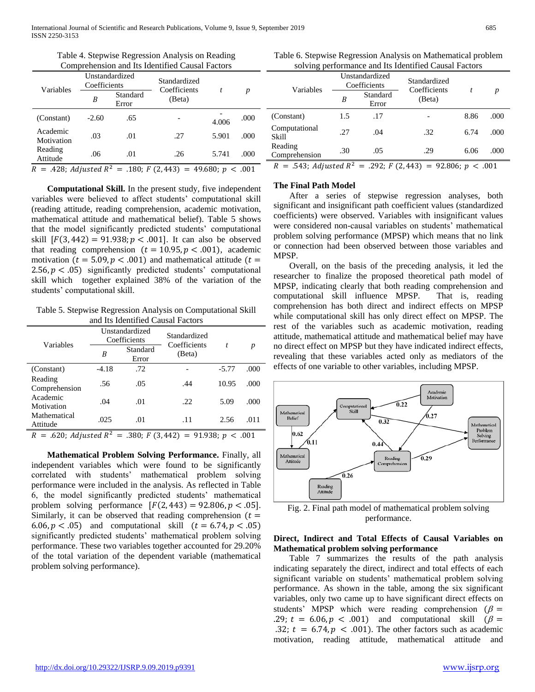| Variables              | Unstandardized<br>Coefficients |                   | Standardized<br>Coefficients                                      |       |      |
|------------------------|--------------------------------|-------------------|-------------------------------------------------------------------|-------|------|
|                        | B                              | Standard<br>Error | (Beta)                                                            |       | p    |
| (Constant)             | $-2.60$                        | .65               |                                                                   | 4.006 | .000 |
| Academic<br>Motivation | .03                            | .01               | .27                                                               | 5.901 | .000 |
| Reading<br>Attitude    | .06                            | .01               | .26                                                               | 5.741 | .000 |
|                        |                                |                   | $R = .428$ ; Adjusted $R^2 = .180$ ; F (2,443) = 49.680; p < .001 |       |      |

Table 4. Stepwise Regression Analysis on Reading Comprehension and Its Identified Causal Factors

**Computational Skill.** In the present study, five independent variables were believed to affect students' computational skill (reading attitude, reading comprehension, academic motivation, mathematical attitude and mathematical belief). Table 5 shows that the model significantly predicted students' computational skill  $[F(3, 442) = 91.938; p < .001]$ . It can also be observed that reading comprehension  $(t = 10.95, p < .001)$ , academic motivation ( $t = 5.09, p < .001$ ) and mathematical attitude ( $t =$ 2.56,  $p < .05$ ) significantly predicted students' computational skill which together explained 38% of the variation of the students' computational skill.

Table 5. Stepwise Regression Analysis on Computational Skill and Its Identified Causal Factors

| Variables                                                         | Unstandardized<br>Coefficients |                   | Standardized<br>Coefficients |         | p    |  |
|-------------------------------------------------------------------|--------------------------------|-------------------|------------------------------|---------|------|--|
|                                                                   | B                              | Standard<br>Error | (Beta)                       |         |      |  |
| (Constant)                                                        | $-4.18$                        | .72               |                              | $-5.77$ | .000 |  |
| Reading<br>Comprehension                                          | .56                            | .05               | .44                          | 10.95   | .000 |  |
| Academic<br>Motivation                                            | .04                            | .01               | .22                          | 5.09    | .000 |  |
| Mathematical<br>Attitude                                          | .025                           | .01               | .11                          | 2.56    | .011 |  |
| $R = .620$ ; Adjusted $R^2 = .380$ ; F (3,442) = 91.938; p < .001 |                                |                   |                              |         |      |  |

**Mathematical Problem Solving Performance.** Finally, all independent variables which were found to be significantly correlated with students' mathematical problem solving performance were included in the analysis. As reflected in Table 6, the model significantly predicted students' mathematical problem solving performance  $[F(2, 443) = 92.806, p < .05]$ . Similarly, it can be observed that reading comprehension  $(t =$ 6.06,  $p < .05$  and computational skill  $(t = 6.74, p < .05)$ significantly predicted students' mathematical problem solving performance. These two variables together accounted for 29.20% of the total variation of the dependent variable (mathematical problem solving performance).

Table 6. Stepwise Regression Analysis on Mathematical problem solving performance and Its Identified Causal Factors

| Variables                                                             |     | Unstandardized<br>Coefficients              | Standardized |      |      |
|-----------------------------------------------------------------------|-----|---------------------------------------------|--------------|------|------|
|                                                                       | B   | Coefficients<br>Standard<br>(Beta)<br>Error |              |      | p    |
| (Constant)                                                            | 1.5 | .17                                         |              | 8.86 | .000 |
| Computational<br>Skill                                                | .27 | .04                                         | .32          | 6.74 | .000 |
| Reading<br>Comprehension                                              | .30 | .05                                         | .29          | 6.06 | .000 |
| $R = .543$ ; Adjusted $R^2 = .292$ ; $F(2,443) = 92.806$ ; $p < .001$ |     |                                             |              |      |      |

### **The Final Path Model**

After a series of stepwise regression analyses, both significant and insignificant path coefficient values (standardized coefficients) were observed. Variables with insignificant values were considered non-causal variables on students' mathematical problem solving performance (MPSP) which means that no link or connection had been observed between those variables and MPSP.

Overall, on the basis of the preceding analysis, it led the researcher to finalize the proposed theoretical path model of MPSP, indicating clearly that both reading comprehension and computational skill influence MPSP. That is, reading comprehension has both direct and indirect effects on MPSP while computational skill has only direct effect on MPSP. The rest of the variables such as academic motivation, reading attitude, mathematical attitude and mathematical belief may have no direct effect on MPSP but they have indicated indirect effects, revealing that these variables acted only as mediators of the effects of one variable to other variables, including MPSP.



Fig. 2. Final path model of mathematical problem solving performance.

## **Direct, Indirect and Total Effects of Causal Variables on Mathematical problem solving performance**

Table 7 summarizes the results of the path analysis indicating separately the direct, indirect and total effects of each significant variable on students' mathematical problem solving performance. As shown in the table, among the six significant variables, only two came up to have significant direct effects on students' MPSP which were reading comprehension ( $\beta$  = .29;  $t = 6.06, p < .001$  and computational skill  $(\beta =$ .32;  $t = 6.74, p < .001$ ). The other factors such as academic motivation, reading attitude, mathematical attitude and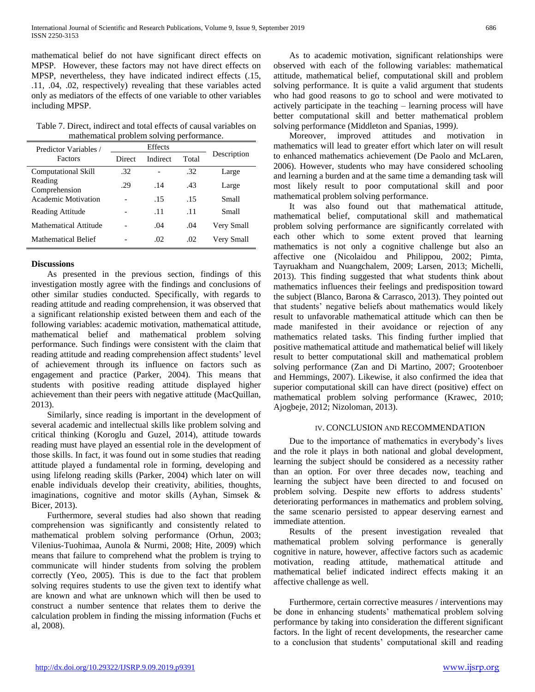mathematical belief do not have significant direct effects on MPSP. However, these factors may not have direct effects on MPSP, nevertheless, they have indicated indirect effects (.15, .11, .04, .02, respectively) revealing that these variables acted only as mediators of the effects of one variable to other variables including MPSP.

Table 7. Direct, indirect and total effects of causal variables on mathematical problem solving performance.

| Predictor Variables /      |        |          |       |             |
|----------------------------|--------|----------|-------|-------------|
| Factors                    | Direct | Indirect | Total | Description |
| <b>Computational Skill</b> | .32    |          | .32   | Large       |
| Reading<br>Comprehension   | .29    | .14      | .43   | Large       |
| <b>Academic Motivation</b> |        | .15      | .15   | Small       |
| Reading Attitude           |        | .11      | .11   | Small       |
| Mathematical Attitude      |        | .04      | .04   | Very Small  |
| <b>Mathematical Belief</b> |        | .02      | .02   | Very Small  |

## **Discussions**

As presented in the previous section, findings of this investigation mostly agree with the findings and conclusions of other similar studies conducted. Specifically, with regards to reading attitude and reading comprehension, it was observed that a significant relationship existed between them and each of the following variables: academic motivation, mathematical attitude, mathematical belief and mathematical problem solving performance. Such findings were consistent with the claim that reading attitude and reading comprehension affect students' level of achievement through its influence on factors such as engagement and practice (Parker, 2004). This means that students with positive reading attitude displayed higher achievement than their peers with negative attitude (MacQuillan, 2013).

Similarly, since reading is important in the development of several academic and intellectual skills like problem solving and critical thinking (Koroglu and Guzel, 2014), attitude towards reading must have played an essential role in the development of those skills. In fact, it was found out in some studies that reading attitude played a fundamental role in forming, developing and using lifelong reading skills (Parker, 2004) which later on will enable individuals develop their creativity, abilities, thoughts, imaginations, cognitive and motor skills (Ayhan, Simsek & Bicer, 2013).

Furthermore, several studies had also shown that reading comprehension was significantly and consistently related to mathematical problem solving performance (Orhun, 2003; Vilenius-Tuohimaa, Aunola & Nurmi, 2008; Hite, 2009) which means that failure to comprehend what the problem is trying to communicate will hinder students from solving the problem correctly (Yeo, 2005). This is due to the fact that problem solving requires students to use the given text to identify what are known and what are unknown which will then be used to construct a number sentence that relates them to derive the calculation problem in finding the missing information (Fuchs et al, 2008).

As to academic motivation, significant relationships were observed with each of the following variables: mathematical attitude, mathematical belief, computational skill and problem solving performance. It is quite a valid argument that students who had good reasons to go to school and were motivated to actively participate in the teaching – learning process will have better computational skill and better mathematical problem solving performance (Middleton and Spanias, 1999*)*.

Moreover, improved attitudes and motivation in mathematics will lead to greater effort which later on will result to enhanced mathematics achievement (De Paolo and McLaren, 2006). However, students who may have considered schooling and learning a burden and at the same time a demanding task will most likely result to poor computational skill and poor mathematical problem solving performance.

It was also found out that mathematical attitude, mathematical belief, computational skill and mathematical problem solving performance are significantly correlated with each other which to some extent proved that learning mathematics is not only a cognitive challenge but also an affective one (Nicolaidou and Philippou, 2002; Pimta, Tayruakham and Nuangchalem, 2009; Larsen, 2013; Michelli, 2013). This finding suggested that what students think about mathematics influences their feelings and predisposition toward the subject (Blanco, Barona & Carrasco, 2013). They pointed out that students' negative beliefs about mathematics would likely result to unfavorable mathematical attitude which can then be made manifested in their avoidance or rejection of any mathematics related tasks. This finding further implied that positive mathematical attitude and mathematical belief will likely result to better computational skill and mathematical problem solving performance (Zan and Di Martino, 2007; Grootenboer and Hemmings, 2007). Likewise, it also confirmed the idea that superior computational skill can have direct (positive) effect on mathematical problem solving performance (Krawec, 2010; Ajogbeje, 2012; Nizoloman, 2013).

## IV. CONCLUSION AND RECOMMENDATION

Due to the importance of mathematics in everybody's lives and the role it plays in both national and global development, learning the subject should be considered as a necessity rather than an option. For over three decades now, teaching and learning the subject have been directed to and focused on problem solving. Despite new efforts to address students' deteriorating performances in mathematics and problem solving, the same scenario persisted to appear deserving earnest and immediate attention.

Results of the present investigation revealed that mathematical problem solving performance is generally cognitive in nature, however, affective factors such as academic motivation, reading attitude, mathematical attitude and mathematical belief indicated indirect effects making it an affective challenge as well.

Furthermore, certain corrective measures / interventions may be done in enhancing students' mathematical problem solving performance by taking into consideration the different significant factors. In the light of recent developments, the researcher came to a conclusion that students' computational skill and reading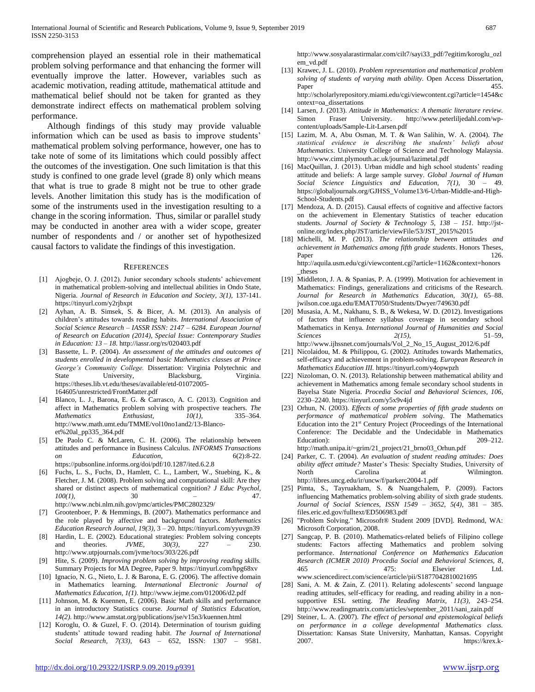comprehension played an essential role in their mathematical problem solving performance and that enhancing the former will eventually improve the latter. However, variables such as academic motivation, reading attitude, mathematical attitude and mathematical belief should not be taken for granted as they demonstrate indirect effects on mathematical problem solving performance.

Although findings of this study may provide valuable information which can be used as basis to improve students' mathematical problem solving performance, however, one has to take note of some of its limitations which could possibly affect the outcomes of the investigation. One such limitation is that this study is confined to one grade level (grade 8) only which means that what is true to grade 8 might not be true to other grade levels. Another limitation this study has is the modification of some of the instruments used in the investigation resulting to a change in the scoring information. Thus, similar or parallel study may be conducted in another area with a wider scope, greater number of respondents and / or another set of hypothesized causal factors to validate the findings of this investigation.

#### **REFERENCES**

- [1] Ajogbeje, O. J. (2012). Junior secondary schools students' achievement in mathematical problem-solving and intellectual abilities in Ondo State, Nigeria. *Journal of Research in Education and Society, 3(1),* 137-141. https://tinyurl.com/y2rjbxpt
- [2] Ayhan, A. B. Simsek, S. & Bicer, A. M. (2013). An analysis of children's attitudes towards reading habits*. International Association of Social Science Research – IASSR ISSN: 2147 – 6284. European Journal of Research on Education (2014), Special Issue: Contemporary Studies in Education: 13 – 18.* http://iassr.org/rs/020403.pdf
- [3] Bassette, L. P. (2004). *An assessment of the attitudes and outcomes of students enrolled in developmental basic Mathematics classes at Prince George's Community College.* Dissertation: Virginia Polytechnic and State University, Blacksburg, Virginia. https://theses.lib.vt.edu/theses/available/etd-01072005- 164605/unrestricted/FrontMatter.pdf
- [4] Blanco, L. J., Barona, E. G. & Carrasco, A. C. (2013). Cognition and affect in Mathematics problem solving with prospective teachers. *The Mathematics* Enthusiast,  $10(1)$ , 335–364. *Mathematics Enthusiast, 10(1),* 335–364. http://www.math.umt.edu/TMME/vol10no1and2/13-Blancoet%20al\_pp335\_364.pdf
- De Paolo C. & McLaren, C. H. (2006). The relationship between attitudes and performance in Business Calculus. *INFORMS Transactions Education*, 6(2):8-22. https://pubsonline.informs.org/doi/pdf/10.1287/ited.6.2.8
- [6] Fuchs, L. S., Fuchs, D., Hamlett, C. L., Lambert, W., Stuebing, K., & Fletcher, J. M. (2008). Problem solving and computational skill: Are they shared or distinct aspects of mathematical cognition? *J Educ Psychol, 100(1),* 30 – 47. http://www.ncbi.nlm.nih.gov/pmc/articles/PMC2802329/
- [7] Grootenboer, P. & Hemmings, B. (2007). Mathematics performance and the role played by affective and background factors. *Mathematics Education Research Journal, 19(3),* 3 – 20. https://tinyurl.com/yyuvgn39
- [8] Hardin, L. E. (2002). Educational strategies: Problem solving concepts and theories. *JVME, 30(3),* 227 – 230. http://www.utpjournals.com/jvme/tocs/303/226.pdf
- [9] Hite, S. (2009). *Improving problem solving by improving reading skills.*  Summary Projects for MA Degree, Paper 9. https://tinyurl.com/hpg68xv
- [10] Ignacio, N. G., Nieto, L. J. & Barona, E. G. (2006). The affective domain in Mathematics learning. *International Electronic Journal Mathematics Education, 1(1).* http://www.iejme.com/012006/d2.pdf
- [11] Johnson, M. & Kuennen, E. (2006). Basic Math skills and performance in an introductory Statistics course. *Journal of Statistics Education, 14(2).* http://www.amstat.org/publications/jse/v15n3/kuennen.html
- [12] Koroglu, O. & Guzel, F. O. (2014). Determination of tourism guiding students' attitude toward reading habit. *The Journal of International Social Research, 7(33),* 643 – 652, ISSN: 1307 – 9581.
- [13] Krawec, J. L. (2010). *Problem representation and mathematical problem solving of students of varying math ability.* Open Access Dissertation, Paper 455. http://scholarlyrepository.miami.edu/cgi/viewcontent.cgi?article=1454&c
- ontext=oa\_dissertations [14] Larsen, J. (2013). *Attitude in Mathematics: A thematic literature review.* Simon Fraser University. http://www.peterliljedahl.com/wpcontent/uploads/Sample-Lit-Larsen.pdf
- [15] Lazim, M. A, Abu Osman, M. T. & Wan Salihin, W. A. (2004). *The statistical evidence in describing the students' beliefs about Mathematics*. University College of Science and Technology Malaysia. http://www.cimt.plymouth.ac.uk/journal/lazimetal.pdf
- [16] MacQuillan, J. (2013). Urban middle and high school students' reading attitude and beliefs: A large sample survey. *Global Journal of Human Social Science Linguistics and Education, 7(1),* 30 – 49. https://globaljournals.org/GJHSS\_Volume13/6-Urban-Middle-and-High-School-Students.pdf
- [17] Mendoza, A. D. (2015). Causal effects of cognitive and affective factors on the achievement in Elementary Statistics of teacher education students. *Journal of Society & Technology 5, 138 – 151.* http://jstonline.org/index.php/JST/article/viewFile/53/JST\_2015%2015
- [18] Michelli, M. P. (2013). *The relationship between attitudes and achievement in Mathematics among fifth grade students*. Honors Theses, Paper 126. http://aquila.usm.edu/cgi/viewcontent.cgi?article=1162&context=honors \_theses
- [19] Middleton, J. A. & Spanias, P. A. (1999). Motivation for achievement in Mathematics: Findings, generalizations and criticisms of the Research. *Journal for Research in Mathematics Education, 30(1),* 65–88. jwilson.coe.uga.edu/EMAT7050/Students/Dwyer/749630.pdf
- [20] Musasia, A. M., Nakhanu, S. B., & Wekesa, W. D. (2012). Investigations of factors that influence syllabus coverage in secondary school Mathematics in Kenya*. International Journal of Humanities and Social Sciences 2(15),* 51–59, http://www.ijhssnet.com/journals/Vol\_2\_No\_15\_August\_2012/6.pdf
- [21] Nicolaidou, M. & Philippou, G. (2002*).* Attitudes towards Mathematics, self-efficacy and achievement in problem-solving. *European Research in Mathematics Education III.* https://tinyurl.com/y4opwpzh
- [22] Nizoloman, O. N. (2013). Relationship between mathematical ability and achievement in Mathematics among female secondary school students in Bayelsa State Nigeria. *Procedia Social and Behavioral Sciences, 106*, 2230–2240. https://tinyurl.com/y5x9v4jd
- [23] Orhun, N. (2003). *Effects of some properties of fifth grade students on performance of mathematical problem solving*. The Mathematics Education into the  $21<sup>st</sup>$  Century Project (Proceedings of the International Conference: The Decidable and the Undecidable in Mathematics Education): 209–212.

http://math.unipa.it/~grim/21\_project/21\_brno03\_Orhun.pdf

- [24] Parker, C. T. (2004). *An evaluation of student reading attitudes: Does ability affect attitude?* Master's Thesis: Specialty Studies, University of North Carolina at Wilmington. http://libres.uncg.edu/ir/uncw/f/parkerc2004-1.pdf
- [25] Pimta, S., Tayruakham, S. & Nuangchalem, P. (2009). Factors influencing Mathematics problem-solving ability of sixth grade students. *Journal of Social Sciences, ISSN 1549 – 3652, 5(4),* 381 – 385. files.eric.ed.gov/fulltext/ED506983.pdf
- [26] "Problem Solving." Microsoft® Student 2009 [DVD]. Redmond, WA: Microsoft Corporation, 2008.
- [27] Sangcap, P. B. (2010). Mathematics-related beliefs of Filipino college students: Factors affecting Mathematics and problem solving performance. *International Conference on Mathematics Education Research (ICMER 2010) Procedia Social and Behavioral Sciences, 8*, 465 – 475: Elsevier Ltd. www.sciencedirect.com/science/article/pii/S1877042810021695
- [28] Sani, A. M. & Zain, Z. (2011). Relating adolescents' second language reading attitudes, self-efficacy for reading, and reading ability in a nonsupportive ESL setting. *The Reading Matrix, 11(3),* 243–254. http://www.readingmatrix.com/articles/september\_2011/sani\_zain.pdf
- [29] Steiner, L. A. (2007). *The effect of personal and epistemological beliefs on performance in a college developmental Mathematics class.*  Dissertation: Kansas State University, Manhattan, Kansas. Copyright 2007. https://krex.k-